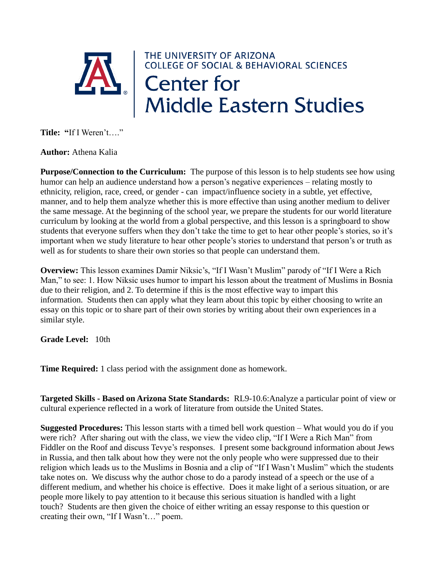

**Author:** Athena Kalia

**Purpose/Connection to the Curriculum:** The purpose of this lesson is to help students see how using humor can help an audience understand how a person's negative experiences – relating mostly to ethnicity, religion, race, creed, or gender - can impact/influence society in a subtle, yet effective, manner, and to help them analyze whether this is more effective than using another medium to deliver the same message. At the beginning of the school year, we prepare the students for our world literature curriculum by looking at the world from a global perspective, and this lesson is a springboard to show students that everyone suffers when they don't take the time to get to hear other people's stories, so it's important when we study literature to hear other people's stories to understand that person's or truth as well as for students to share their own stories so that people can understand them.

**Overview:** This lesson examines Damir Niksic's, "If I Wasn't Muslim" parody of "If I Were a Rich Man," to see: 1. How Niksic uses humor to impart his lesson about the treatment of Muslims in Bosnia due to their religion, and 2. To determine if this is the most effective way to impart this information. Students then can apply what they learn about this topic by either choosing to write an essay on this topic or to share part of their own stories by writing about their own experiences in a similar style.

**Grade Level:** 10th

**Time Required:** 1 class period with the assignment done as homework.

**Targeted Skills - Based on Arizona State Standards:** RL9-10.6:Analyze a particular point of view or cultural experience reflected in a work of literature from outside the United States.

**Suggested Procedures:** This lesson starts with a timed bell work question – What would you do if you were rich? After sharing out with the class, we view the video clip, "If I Were a Rich Man" from Fiddler on the Roof and discuss Tevye's responses. I present some background information about Jews in Russia, and then talk about how they were not the only people who were suppressed due to their religion which leads us to the Muslims in Bosnia and a clip of "If I Wasn't Muslim" which the students take notes on. We discuss why the author chose to do a parody instead of a speech or the use of a different medium, and whether his choice is effective. Does it make light of a serious situation, or are people more likely to pay attention to it because this serious situation is handled with a light touch? Students are then given the choice of either writing an essay response to this question or creating their own, "If I Wasn't…" poem.